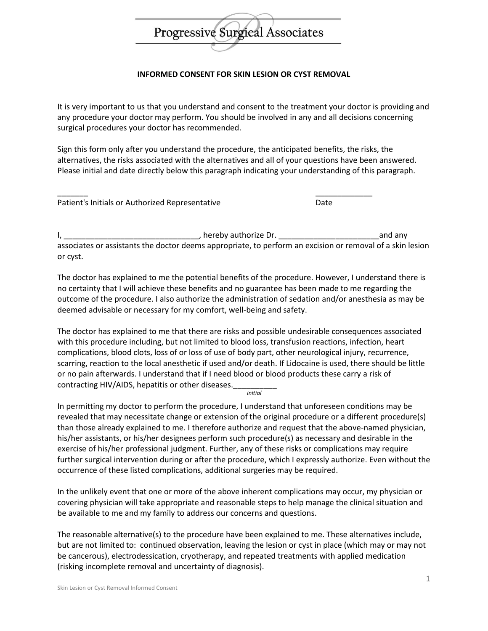## Progressive Surgical Associates

## **INFORMED CONSENT FOR SKIN LESION OR CYST REMOVAL**

It is very important to us that you understand and consent to the treatment your doctor is providing and any procedure your doctor may perform. You should be involved in any and all decisions concerning surgical procedures your doctor has recommended.

Sign this form only after you understand the procedure, the anticipated benefits, the risks, the alternatives, the risks associated with the alternatives and all of your questions have been answered. Please initial and date directly below this paragraph indicating your understanding of this paragraph.

\_\_\_\_\_\_\_ \_\_\_\_\_\_\_\_\_\_\_\_\_

Patient's Initials or Authorized Representative Date

I, \_\_\_\_\_\_\_\_\_\_\_\_\_\_\_\_\_\_\_\_\_\_\_\_\_\_\_\_\_\_\_, hereby authorize Dr. \_\_\_\_\_\_\_\_\_\_\_\_\_\_\_\_\_\_\_\_\_\_\_and any associates or assistants the doctor deems appropriate, to perform an excision or removal of a skin lesion or cyst.

The doctor has explained to me the potential benefits of the procedure. However, I understand there is no certainty that I will achieve these benefits and no guarantee has been made to me regarding the outcome of the procedure. I also authorize the administration of sedation and/or anesthesia as may be deemed advisable or necessary for my comfort, well-being and safety.

The doctor has explained to me that there are risks and possible undesirable consequences associated with this procedure including, but not limited to blood loss, transfusion reactions, infection, heart complications, blood clots, loss of or loss of use of body part, other neurological injury, recurrence, scarring, reaction to the local anesthetic if used and/or death. If Lidocaine is used, there should be little or no pain afterwards. I understand that if I need blood or blood products these carry a risk of contracting HIV/AIDS, hepatitis or other diseases. *initial*

In permitting my doctor to perform the procedure, I understand that unforeseen conditions may be revealed that may necessitate change or extension of the original procedure or a different procedure(s) than those already explained to me. I therefore authorize and request that the above-named physician, his/her assistants, or his/her designees perform such procedure(s) as necessary and desirable in the exercise of his/her professional judgment. Further, any of these risks or complications may require further surgical intervention during or after the procedure, which I expressly authorize. Even without the occurrence of these listed complications, additional surgeries may be required.

In the unlikely event that one or more of the above inherent complications may occur, my physician or covering physician will take appropriate and reasonable steps to help manage the clinical situation and be available to me and my family to address our concerns and questions.

The reasonable alternative(s) to the procedure have been explained to me. These alternatives include, but are not limited to: continued observation, leaving the lesion or cyst in place (which may or may not be cancerous), electrodessication, cryotherapy, and repeated treatments with applied medication (risking incomplete removal and uncertainty of diagnosis).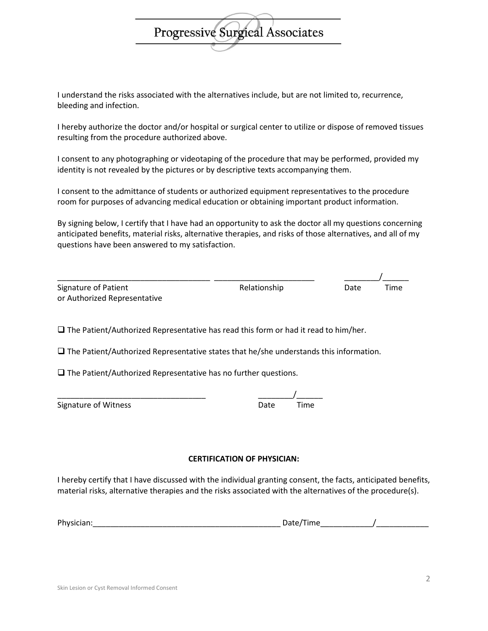

I understand the risks associated with the alternatives include, but are not limited to, recurrence, bleeding and infection.

I hereby authorize the doctor and/or hospital or surgical center to utilize or dispose of removed tissues resulting from the procedure authorized above.

I consent to any photographing or videotaping of the procedure that may be performed, provided my identity is not revealed by the pictures or by descriptive texts accompanying them.

I consent to the admittance of students or authorized equipment representatives to the procedure room for purposes of advancing medical education or obtaining important product information.

By signing below, I certify that I have had an opportunity to ask the doctor all my questions concerning anticipated benefits, material risks, alternative therapies, and risks of those alternatives, and all of my questions have been answered to my satisfaction.

| <b>Signature of Patient</b>  |
|------------------------------|
| or Authorized Representative |

\_\_\_\_\_\_\_\_\_\_\_\_\_\_\_\_\_\_\_\_\_\_\_\_\_\_\_\_\_\_\_\_\_\_\_ \_\_\_\_\_\_\_\_\_\_\_\_\_\_\_\_\_\_\_\_\_\_\_ \_\_\_\_\_\_\_\_/\_\_\_\_\_\_ Relationship Date Time

 $\Box$  The Patient/Authorized Representative has read this form or had it read to him/her.

 $\square$  The Patient/Authorized Representative states that he/she understands this information.

 $\square$  The Patient/Authorized Representative has no further questions.

\_\_\_\_\_\_\_\_\_\_\_\_\_\_\_\_\_\_\_\_\_\_\_\_\_\_\_\_\_\_\_\_\_\_ \_\_\_\_\_\_\_\_/\_\_\_\_\_\_

| Signature of Witness | Date | Time |
|----------------------|------|------|
|----------------------|------|------|

**CERTIFICATION OF PHYSICIAN:**

I hereby certify that I have discussed with the individual granting consent, the facts, anticipated benefits, material risks, alternative therapies and the risks associated with the alternatives of the procedure(s).

| Ρh |  |  |
|----|--|--|
|----|--|--|